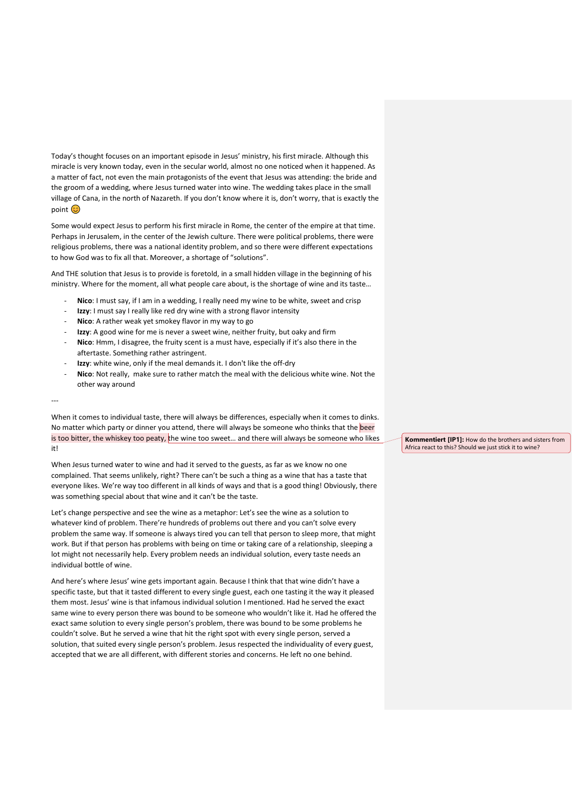Today's thought focuses on an important episode in Jesus' ministry, his first miracle. Although this miracle is very known today, even in the secular world, almost no one noticed when it happened. As a matter of fact, not even the main protagonists of the event that Jesus was attending: the bride and the groom of a wedding, where Jesus turned water into wine. The wedding takes place in the small village of Cana, in the north of Nazareth. If you don't know where it is, don't worry, that is exactly the point (C)

Some would expect Jesus to perform his first miracle in Rome, the center of the empire at that time. Perhaps in Jerusalem, in the center of the Jewish culture. There were political problems, there were religious problems, there was a national identity problem, and so there were different expectations to how God was to fix all that. Moreover, a shortage of "solutions".

And THE solution that Jesus is to provide is foretold, in a small hidden village in the beginning of his ministry. Where for the moment, all what people care about, is the shortage of wine and its taste…

- **Nico**: I must say, if I am in a wedding, I really need my wine to be white, sweet and crisp
- **Izzy**: I must say I really like red dry wine with a strong flavor intensity
- Nico: A rather weak yet smokey flavor in my way to go
- **Izzy**: A good wine for me is never a sweet wine, neither fruity, but oaky and firm
- **Nico**: Hmm, I disagree, the fruity scent is a must have, especially if it's also there in the aftertaste. Something rather astringent.
- Izzy: white wine, only if the meal demands it. I don't like the off-dry
- **Nico**: Not really, make sure to rather match the meal with the delicious white wine. Not the other way around

---

When it comes to individual taste, there will always be differences, especially when it comes to dinks. No matter which party or dinner you attend, there will always be someone who thinks that the beer is too bitter, the whiskey too peaty, the wine too sweet... and there will always be someone who likes it!

When Jesus turned water to wine and had it served to the guests, as far as we know no one complained. That seems unlikely, right? There can't be such a thing as a wine that has a taste that everyone likes. We're way too different in all kinds of ways and that is a good thing! Obviously, there was something special about that wine and it can't be the taste.

Let's change perspective and see the wine as a metaphor: Let's see the wine as a solution to whatever kind of problem. There're hundreds of problems out there and you can't solve every problem the same way. If someone is always tired you can tell that person to sleep more, that might work. But if that person has problems with being on time or taking care of a relationship, sleeping a lot might not necessarily help. Every problem needs an individual solution, every taste needs an individual bottle of wine.

And here's where Jesus' wine gets important again. Because I think that that wine didn't have a specific taste, but that it tasted different to every single guest, each one tasting it the way it pleased them most. Jesus' wine is that infamous individual solution I mentioned. Had he served the exact same wine to every person there was bound to be someone who wouldn't like it. Had he offered the exact same solution to every single person's problem, there was bound to be some problems he couldn't solve. But he served a wine that hit the right spot with every single person, served a solution, that suited every single person's problem. Jesus respected the individuality of every guest, accepted that we are all different, with different stories and concerns. He left no one behind.

**Kommentiert [IP1]:** How do the brothers and sisters from Africa react to this? Should we just stick it to wine?